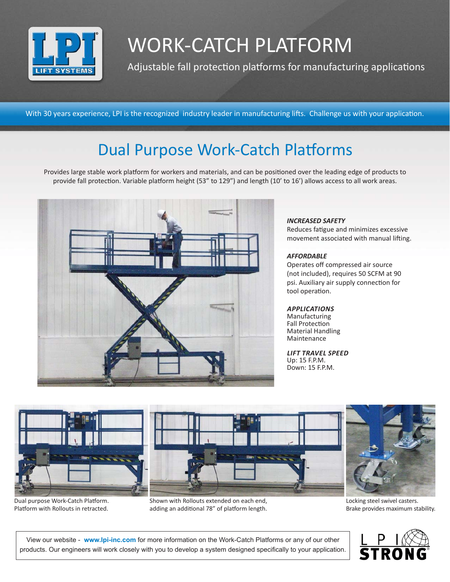

# WORK-CATCH PLATFORM

Adjustable fall protection platforms for manufacturing applications

With 30 years experience, LPI is the recognized industry leader in manufacturing lifts. Challenge us with your application.

### Dual Purpose Work-Catch Platforms

Provides large stable work platform for workers and materials, and can be positioned over the leading edge of products to provide fall protection. Variable platform height (53" to 129") and length (10' to 16') allows access to all work areas.



#### *INCREASED SAFETY*

Reduces fatigue and minimizes excessive movement associated with manual lifting.

#### *AFFORDABLE*

Operates off compressed air source (not included), requires 50 SCFM at 90 psi. Auxiliary air supply connection for tool operation.

#### *applicationS*

Manufacturing Fall Protection Material Handling Maintenance

*Lift Travel Speed* Up: 15 F.P.M. Down: 15 F.P.M.



Dual purpose Work-Catch Platform. Platform with Rollouts in retracted.

Shown with Rollouts extended on each end, adding an additional 78" of platform length.

Locking steel swivel casters. Brake provides maximum stability.

View our website - **www.lpi-inc.com** for more information on the Work-Catch Platforms or any of our other products. Our engineers will work closely with you to develop a system designed specifically to your application.